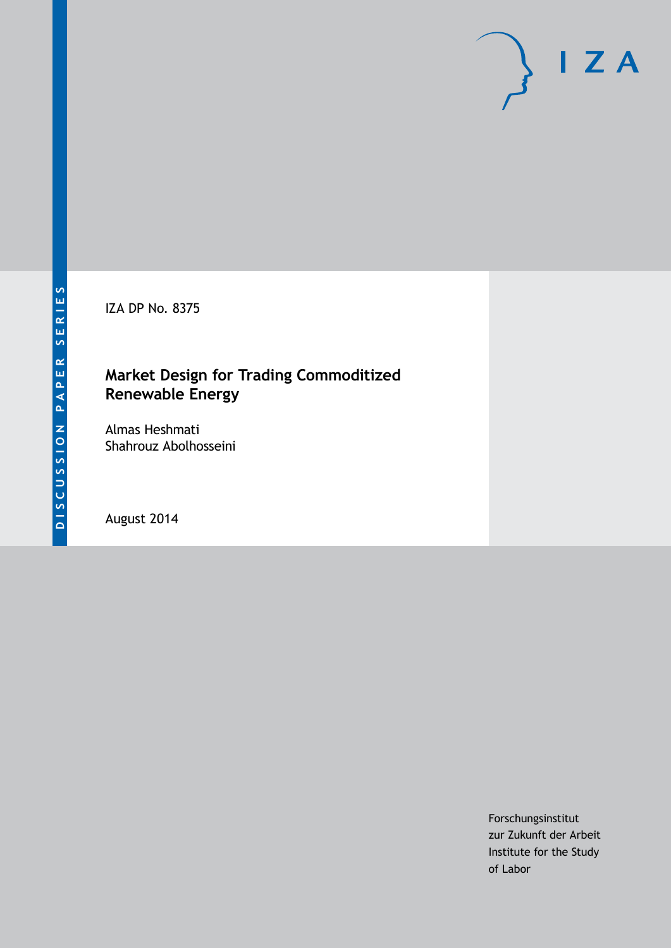IZA DP No. 8375

# **Market Design for Trading Commoditized Renewable Energy**

Almas Heshmati Shahrouz Abolhosseini

August 2014

Forschungsinstitut zur Zukunft der Arbeit Institute for the Study of Labor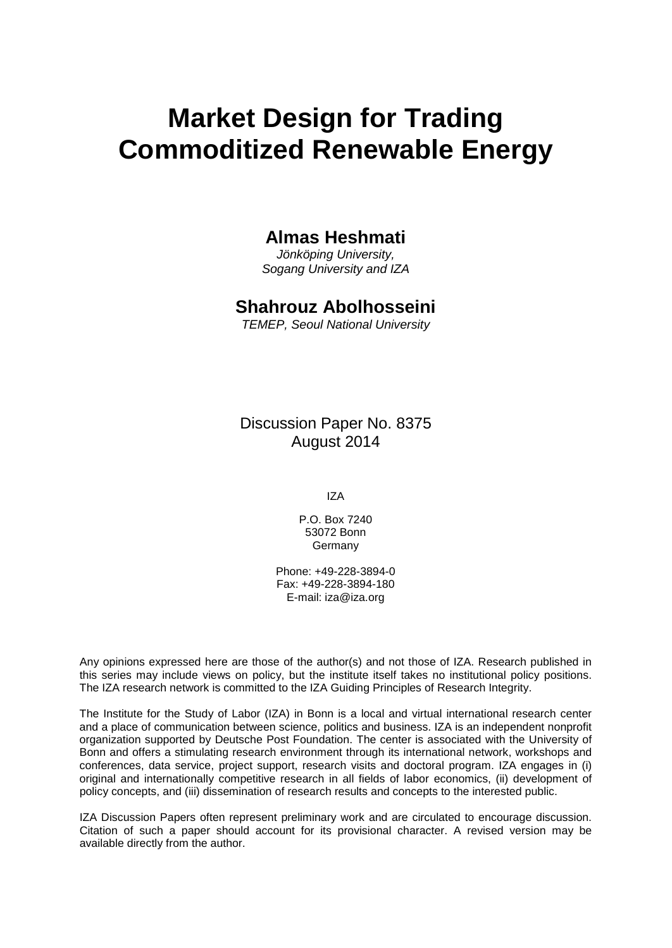# **Market Design for Trading Commoditized Renewable Energy**

# **Almas Heshmati**

*Jönköping University, Sogang University and IZA*

# **Shahrouz Abolhosseini**

*TEMEP, Seoul National University*

Discussion Paper No. 8375 August 2014

IZA

P.O. Box 7240 53072 Bonn Germany

Phone: +49-228-3894-0 Fax: +49-228-3894-180 E-mail: [iza@iza.org](mailto:iza@iza.org)

Any opinions expressed here are those of the author(s) and not those of IZA. Research published in this series may include views on policy, but the institute itself takes no institutional policy positions. The IZA research network is committed to the IZA Guiding Principles of Research Integrity.

The Institute for the Study of Labor (IZA) in Bonn is a local and virtual international research center and a place of communication between science, politics and business. IZA is an independent nonprofit organization supported by Deutsche Post Foundation. The center is associated with the University of Bonn and offers a stimulating research environment through its international network, workshops and conferences, data service, project support, research visits and doctoral program. IZA engages in (i) original and internationally competitive research in all fields of labor economics, (ii) development of policy concepts, and (iii) dissemination of research results and concepts to the interested public.

IZA Discussion Papers often represent preliminary work and are circulated to encourage discussion. Citation of such a paper should account for its provisional character. A revised version may be available directly from the author.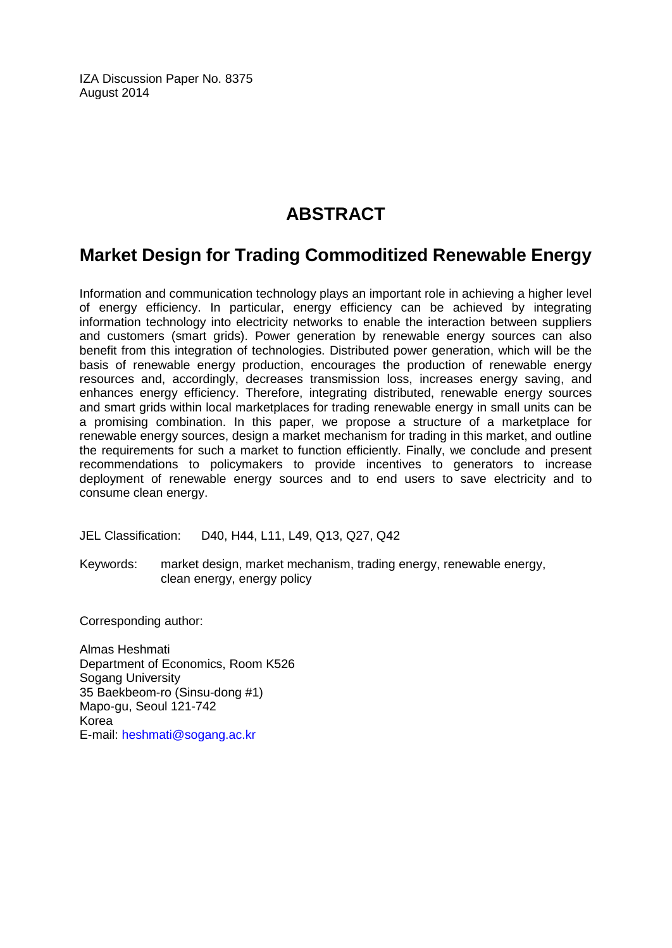IZA Discussion Paper No. 8375 August 2014

# **ABSTRACT**

# **Market Design for Trading Commoditized Renewable Energy**

Information and communication technology plays an important role in achieving a higher level of energy efficiency. In particular, energy efficiency can be achieved by integrating information technology into electricity networks to enable the interaction between suppliers and customers (smart grids). Power generation by renewable energy sources can also benefit from this integration of technologies. Distributed power generation, which will be the basis of renewable energy production, encourages the production of renewable energy resources and, accordingly, decreases transmission loss, increases energy saving, and enhances energy efficiency. Therefore, integrating distributed, renewable energy sources and smart grids within local marketplaces for trading renewable energy in small units can be a promising combination. In this paper, we propose a structure of a marketplace for renewable energy sources, design a market mechanism for trading in this market, and outline the requirements for such a market to function efficiently. Finally, we conclude and present recommendations to policymakers to provide incentives to generators to increase deployment of renewable energy sources and to end users to save electricity and to consume clean energy.

JEL Classification: D40, H44, L11, L49, Q13, Q27, Q42

Keywords: market design, market mechanism, trading energy, renewable energy, clean energy, energy policy

Corresponding author:

Almas Heshmati Department of Economics, Room K526 Sogang University 35 Baekbeom-ro (Sinsu-dong #1) Mapo-gu, Seoul 121-742 Korea E-mail: [heshmati@sogang.ac.kr](mailto:heshmati@sogang.ac.kr)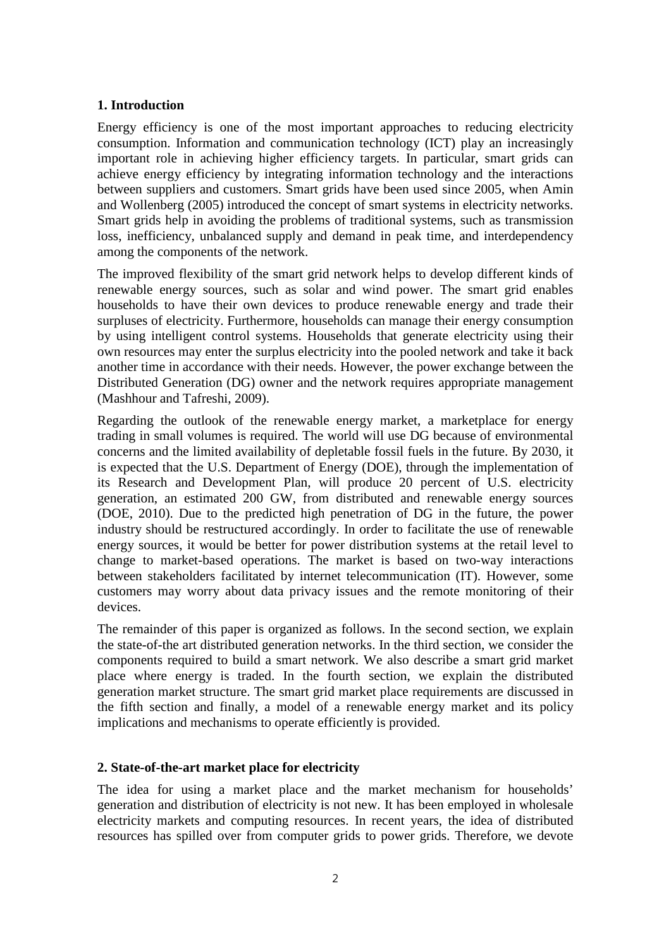# **1. Introduction**

Energy efficiency is one of the most important approaches to reducing electricity consumption. Information and communication technology (ICT) play an increasingly important role in achieving higher efficiency targets. In particular, smart grids can achieve energy efficiency by integrating information technology and the interactions between suppliers and customers. Smart grids have been used since 2005, when Amin and Wollenberg (2005) introduced the concept of smart systems in electricity networks. Smart grids help in avoiding the problems of traditional systems, such as transmission loss, inefficiency, unbalanced supply and demand in peak time, and interdependency among the components of the network.

The improved flexibility of the smart grid network helps to develop different kinds of renewable energy sources, such as solar and wind power. The smart grid enables households to have their own devices to produce renewable energy and trade their surpluses of electricity. Furthermore, households can manage their energy consumption by using intelligent control systems. Households that generate electricity using their own resources may enter the surplus electricity into the pooled network and take it back another time in accordance with their needs. However, the power exchange between the Distributed Generation (DG) owner and the network requires appropriate management (Mashhour and Tafreshi, 2009).

Regarding the outlook of the renewable energy market, a marketplace for energy trading in small volumes is required. The world will use DG because of environmental concerns and the limited availability of depletable fossil fuels in the future. By 2030, it is expected that the U.S. Department of Energy (DOE), through the implementation of its Research and Development Plan, will produce 20 percent of U.S. electricity generation, an estimated 200 GW, from distributed and renewable energy sources (DOE, 2010). Due to the predicted high penetration of DG in the future, the power industry should be restructured accordingly. In order to facilitate the use of renewable energy sources, it would be better for power distribution systems at the retail level to change to market-based operations. The market is based on two-way interactions between stakeholders facilitated by internet telecommunication (IT). However, some customers may worry about data privacy issues and the remote monitoring of their devices.

The remainder of this paper is organized as follows. In the second section, we explain the state-of-the art distributed generation networks. In the third section, we consider the components required to build a smart network. We also describe a smart grid market place where energy is traded. In the fourth section, we explain the distributed generation market structure. The smart grid market place requirements are discussed in the fifth section and finally, a model of a renewable energy market and its policy implications and mechanisms to operate efficiently is provided.

# **2. State-of-the-art market place for electricity**

The idea for using a market place and the market mechanism for households' generation and distribution of electricity is not new. It has been employed in wholesale electricity markets and computing resources. In recent years, the idea of distributed resources has spilled over from computer grids to power grids. Therefore, we devote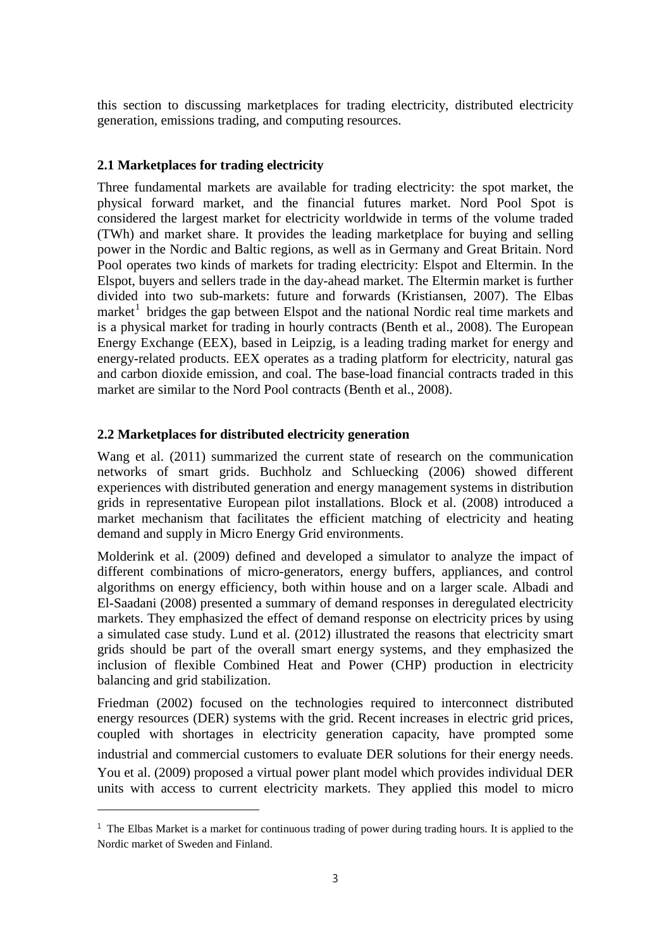this section to discussing marketplaces for trading electricity, distributed electricity generation, emissions trading, and computing resources.

# **2.1 Marketplaces for trading electricity**

Three fundamental markets are available for trading electricity: the spot market, the physical forward market, and the financial futures market. Nord Pool Spot is considered the largest market for electricity worldwide in terms of the volume traded (TWh) and market share. It provides the leading marketplace for buying and selling power in the Nordic and Baltic regions, as well as in Germany and Great Britain. Nord Pool operates two kinds of markets for trading electricity: Elspot and Eltermin. In the Elspot, buyers and sellers trade in the day-ahead market. The Eltermin market is further divided into two sub-markets: future and forwards (Kristiansen, 2007). The Elbas market<sup>1</sup> bridges the gap between Elspot and the national Nordic real time markets and is a physical market for trading in hourly contracts (Benth et al., 2008). The European Energy Exchange (EEX), based in Leipzig, is a leading trading market for energy and energy-related products. EEX operates as a trading platform for electricity, natural gas and carbon dioxide emission, and coal. The base-load financial contracts traded in this market are similar to the Nord Pool contracts (Benth et al., 2008).

# **2.2 Marketplaces for distributed electricity generation**

-

Wang et al. (2011) summarized the current state of research on the communication networks of smart grids. Buchholz and Schluecking (2006) showed different experiences with distributed generation and energy management systems in distribution grids in representative European pilot installations. Block et al. (2008) introduced a market mechanism that facilitates the efficient matching of electricity and heating demand and supply in Micro Energy Grid environments.

Molderink et al. (2009) defined and developed a simulator to analyze the impact of different combinations of micro-generators, energy buffers, appliances, and control algorithms on energy efficiency, both within house and on a larger scale. Albadi and El-Saadani (2008) presented a summary of demand responses in deregulated electricity markets. They emphasized the effect of demand response on electricity prices by using a simulated case study. Lund et al. (2012) illustrated the reasons that electricity smart grids should be part of the overall smart energy systems, and they emphasized the inclusion of flexible Combined Heat and Power (CHP) production in electricity balancing and grid stabilization.

Friedman (2002) focused on the technologies required to interconnect distributed energy resources (DER) systems with the grid. Recent increases in electric grid prices, coupled with shortages in electricity generation capacity, have prompted some industrial and commercial customers to evaluate DER solutions for their energy needs. You et al. (2009) proposed a virtual power plant model which provides individual DER units with access to current electricity markets. They applied this model to micro

 $1$  The Elbas Market is a market for continuous trading of power during trading hours. It is applied to the Nordic market of Sweden and Finland.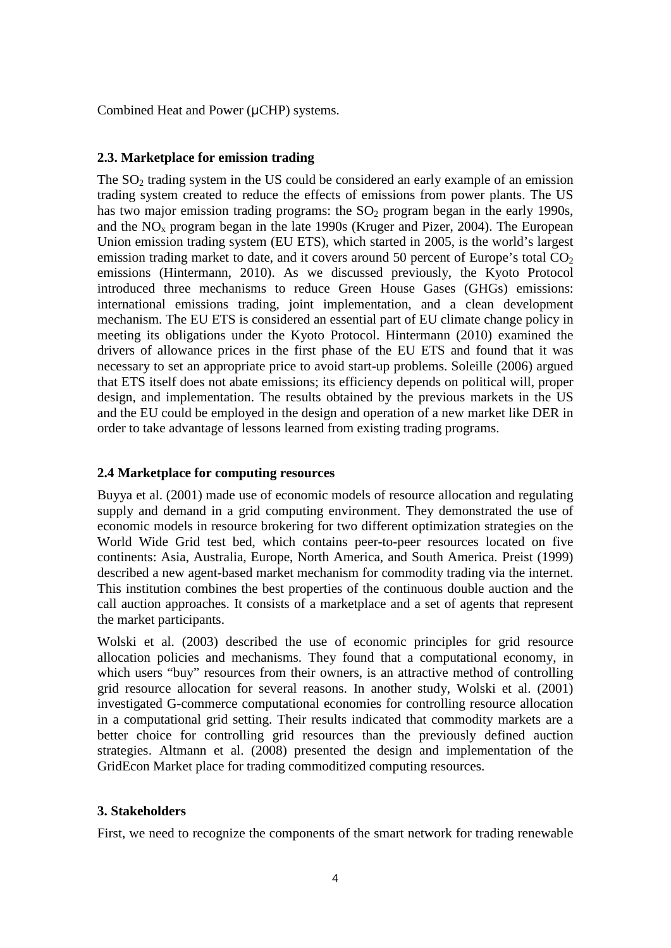Combined Heat and Power ( $\mu$ CHP) systems.

# **2.3. Marketplace for emission trading**

The  $SO<sub>2</sub>$  trading system in the US could be considered an early example of an emission trading system created to reduce the effects of emissions from power plants. The US has two major emission trading programs: the  $SO<sub>2</sub>$  program began in the early 1990s, and the  $NO<sub>x</sub>$  program began in the late 1990s (Kruger and Pizer, 2004). The European Union emission trading system (EU ETS), which started in 2005, is the world's largest emission trading market to date, and it covers around 50 percent of Europe's total  $CO<sub>2</sub>$ emissions (Hintermann, 2010). As we discussed previously, the Kyoto Protocol introduced three mechanisms to reduce Green House Gases (GHGs) emissions: international emissions trading, joint implementation, and a clean development mechanism. The EU ETS is considered an essential part of EU climate change policy in meeting its obligations under the Kyoto Protocol. Hintermann (2010) examined the drivers of allowance prices in the first phase of the EU ETS and found that it was necessary to set an appropriate price to avoid start-up problems. Soleille (2006) argued that ETS itself does not abate emissions; its efficiency depends on political will, proper design, and implementation. The results obtained by the previous markets in the US and the EU could be employed in the design and operation of a new market like DER in order to take advantage of lessons learned from existing trading programs.

# **2.4 Marketplace for computing resources**

Buyya et al. (2001) made use of economic models of resource allocation and regulating supply and demand in a grid computing environment. They demonstrated the use of economic models in resource brokering for two different optimization strategies on the World Wide Grid test bed, which contains peer-to-peer resources located on five continents: Asia, Australia, Europe, North America, and South America. Preist (1999) described a new agent-based market mechanism for commodity trading via the internet. This institution combines the best properties of the continuous double auction and the call auction approaches. It consists of a marketplace and a set of agents that represent the market participants.

Wolski et al. (2003) described the use of economic principles for grid resource allocation policies and mechanisms. They found that a computational economy, in which users "buy" resources from their owners, is an attractive method of controlling grid resource allocation for several reasons. In another study, Wolski et al. (2001) investigated G-commerce computational economies for controlling resource allocation in a computational grid setting. Their results indicated that commodity markets are a better choice for controlling grid resources than the previously defined auction strategies. Altmann et al. (2008) presented the design and implementation of the GridEcon Market place for trading commoditized computing resources.

#### **3. Stakeholders**

First, we need to recognize the components of the smart network for trading renewable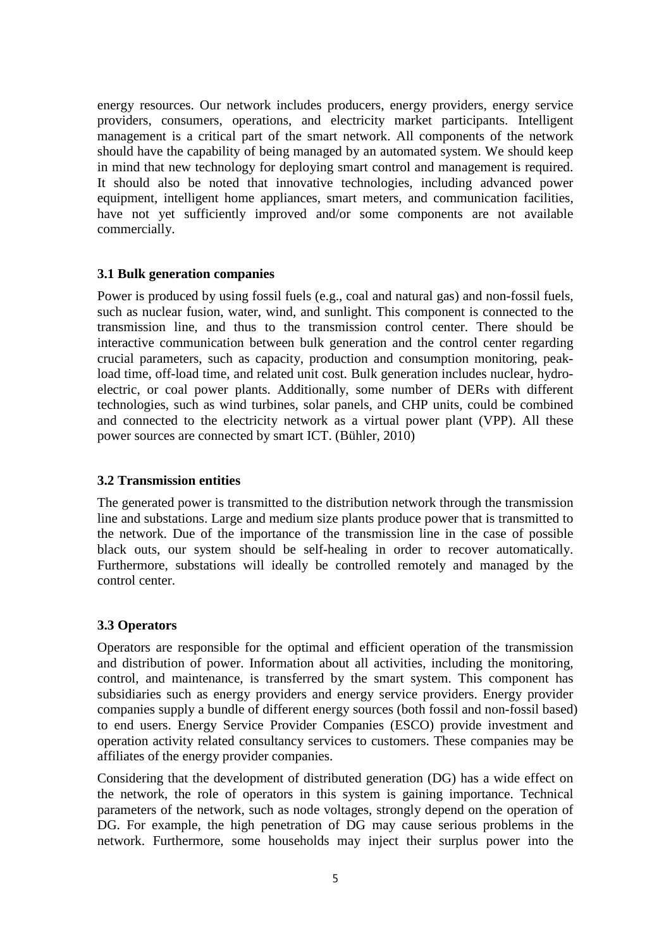energy resources. Our network includes producers, energy providers, energy service providers, consumers, operations, and electricity market participants. Intelligent management is a critical part of the smart network. All components of the network should have the capability of being managed by an automated system. We should keep in mind that new technology for deploying smart control and management is required. It should also be noted that innovative technologies, including advanced power equipment, intelligent home appliances, smart meters, and communication facilities, have not yet sufficiently improved and/or some components are not available commercially.

# **3.1 Bulk generation companies**

Power is produced by using fossil fuels (e.g., coal and natural gas) and non-fossil fuels, such as nuclear fusion, water, wind, and sunlight. This component is connected to the transmission line, and thus to the transmission control center. There should be interactive communication between bulk generation and the control center regarding crucial parameters, such as capacity, production and consumption monitoring, peakload time, off-load time, and related unit cost. Bulk generation includes nuclear, hydroelectric, or coal power plants. Additionally, some number of DERs with different technologies, such as wind turbines, solar panels, and CHP units, could be combined and connected to the electricity network as a virtual power plant (VPP). All these power sources are connected by smart ICT. (Bühler, 2010)

#### **3.2 Transmission entities**

The generated power is transmitted to the distribution network through the transmission line and substations. Large and medium size plants produce power that is transmitted to the network. Due of the importance of the transmission line in the case of possible black outs, our system should be self-healing in order to recover automatically. Furthermore, substations will ideally be controlled remotely and managed by the control center.

#### **3.3 Operators**

Operators are responsible for the optimal and efficient operation of the transmission and distribution of power. Information about all activities, including the monitoring, control, and maintenance, is transferred by the smart system. This component has subsidiaries such as energy providers and energy service providers. Energy provider companies supply a bundle of different energy sources (both fossil and non-fossil based) to end users. Energy Service Provider Companies (ESCO) provide investment and operation activity related consultancy services to customers. These companies may be affiliates of the energy provider companies.

Considering that the development of distributed generation (DG) has a wide effect on the network, the role of operators in this system is gaining importance. Technical parameters of the network, such as node voltages, strongly depend on the operation of DG. For example, the high penetration of DG may cause serious problems in the network. Furthermore, some households may inject their surplus power into the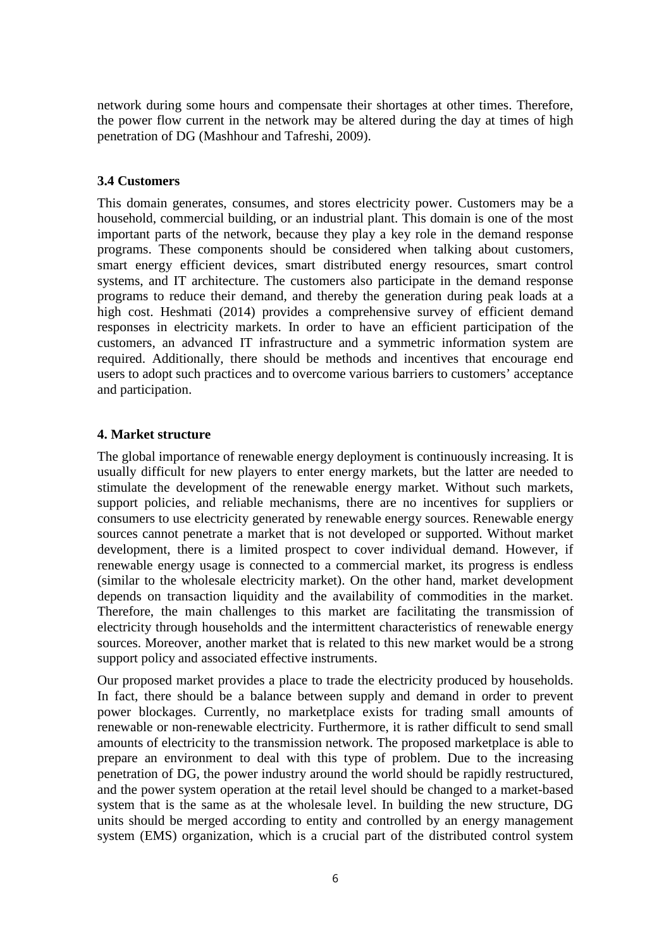network during some hours and compensate their shortages at other times. Therefore, the power flow current in the network may be altered during the day at times of high penetration of DG (Mashhour and Tafreshi, 2009).

# **3.4 Customers**

This domain generates, consumes, and stores electricity power. Customers may be a household, commercial building, or an industrial plant. This domain is one of the most important parts of the network, because they play a key role in the demand response programs. These components should be considered when talking about customers, smart energy efficient devices, smart distributed energy resources, smart control systems, and IT architecture. The customers also participate in the demand response programs to reduce their demand, and thereby the generation during peak loads at a high cost. Heshmati (2014) provides a comprehensive survey of efficient demand responses in electricity markets. In order to have an efficient participation of the customers, an advanced IT infrastructure and a symmetric information system are required. Additionally, there should be methods and incentives that encourage end users to adopt such practices and to overcome various barriers to customers' acceptance and participation.

# **4. Market structure**

The global importance of renewable energy deployment is continuously increasing. It is usually difficult for new players to enter energy markets, but the latter are needed to stimulate the development of the renewable energy market. Without such markets, support policies, and reliable mechanisms, there are no incentives for suppliers or consumers to use electricity generated by renewable energy sources. Renewable energy sources cannot penetrate a market that is not developed or supported. Without market development, there is a limited prospect to cover individual demand. However, if renewable energy usage is connected to a commercial market, its progress is endless (similar to the wholesale electricity market). On the other hand, market development depends on transaction liquidity and the availability of commodities in the market. Therefore, the main challenges to this market are facilitating the transmission of electricity through households and the intermittent characteristics of renewable energy sources. Moreover, another market that is related to this new market would be a strong support policy and associated effective instruments.

Our proposed market provides a place to trade the electricity produced by households. In fact, there should be a balance between supply and demand in order to prevent power blockages. Currently, no marketplace exists for trading small amounts of renewable or non-renewable electricity. Furthermore, it is rather difficult to send small amounts of electricity to the transmission network. The proposed marketplace is able to prepare an environment to deal with this type of problem. Due to the increasing penetration of DG, the power industry around the world should be rapidly restructured, and the power system operation at the retail level should be changed to a market-based system that is the same as at the wholesale level. In building the new structure, DG units should be merged according to entity and controlled by an energy management system (EMS) organization, which is a crucial part of the distributed control system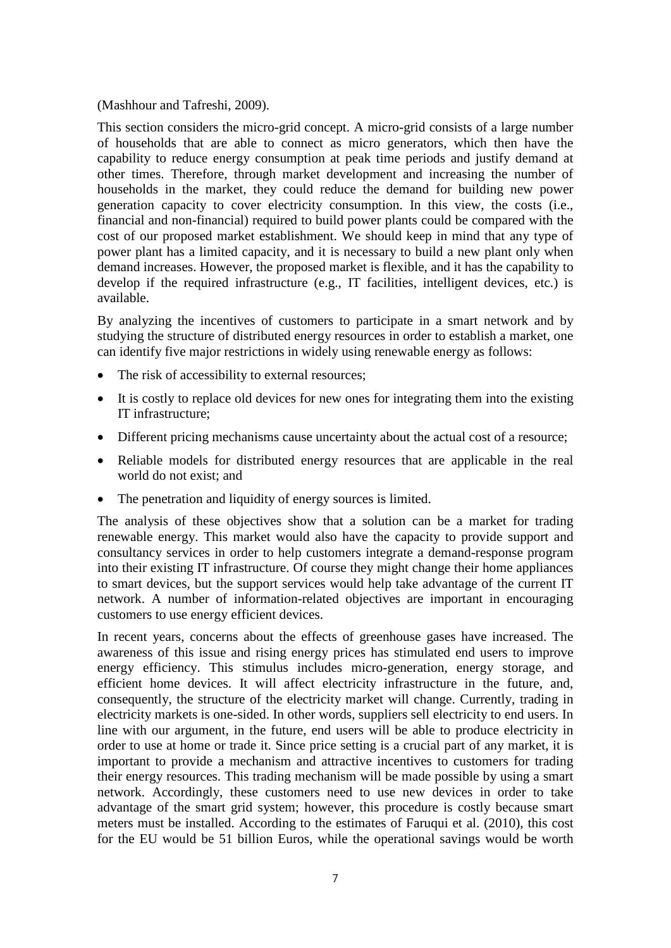(Mashhour and Tafreshi, 2009).

This section considers the micro-grid concept. A micro-grid consists of a large number of households that are able to connect as micro generators, which then have the capability to reduce energy consumption at peak time periods and justify demand at other times. Therefore, through market development and increasing the number of households in the market, they could reduce the demand for building new power generation capacity to cover electricity consumption. In this view, the costs (i.e., financial and non-financial) required to build power plants could be compared with the cost of our proposed market establishment. We should keep in mind that any type of power plant has a limited capacity, and it is necessary to build a new plant only when demand increases. However, the proposed market is flexible, and it has the capability to develop if the required infrastructure (e.g., IT facilities, intelligent devices, etc.) is available.

By analyzing the incentives of customers to participate in a smart network and by studying the structure of distributed energy resources in order to establish a market, one can identify five major restrictions in widely using renewable energy as follows:

- The risk of accessibility to external resources;
- It is costly to replace old devices for new ones for integrating them into the existing IT infrastructure;
- Different pricing mechanisms cause uncertainty about the actual cost of a resource;
- Reliable models for distributed energy resources that are applicable in the real world do not exist; and
- The penetration and liquidity of energy sources is limited.

The analysis of these objectives show that a solution can be a market for trading renewable energy. This market would also have the capacity to provide support and consultancy services in order to help customers integrate a demand-response program into their existing IT infrastructure. Of course they might change their home appliances to smart devices, but the support services would help take advantage of the current IT network. A number of information-related objectives are important in encouraging customers to use energy efficient devices.

In recent years, concerns about the effects of greenhouse gases have increased. The awareness of this issue and rising energy prices has stimulated end users to improve energy efficiency. This stimulus includes micro-generation, energy storage, and efficient home devices. It will affect electricity infrastructure in the future, and, consequently, the structure of the electricity market will change. Currently, trading in electricity markets is one-sided. In other words, suppliers sell electricity to end users. In line with our argument, in the future, end users will be able to produce electricity in order to use at home or trade it. Since price setting is a crucial part of any market, it is important to provide a mechanism and attractive incentives to customers for trading their energy resources. This trading mechanism will be made possible by using a smart network. Accordingly, these customers need to use new devices in order to take advantage of the smart grid system; however, this procedure is costly because smart meters must be installed. According to the estimates of Faruqui et al. (2010), this cost for the EU would be 51 billion Euros, while the operational savings would be worth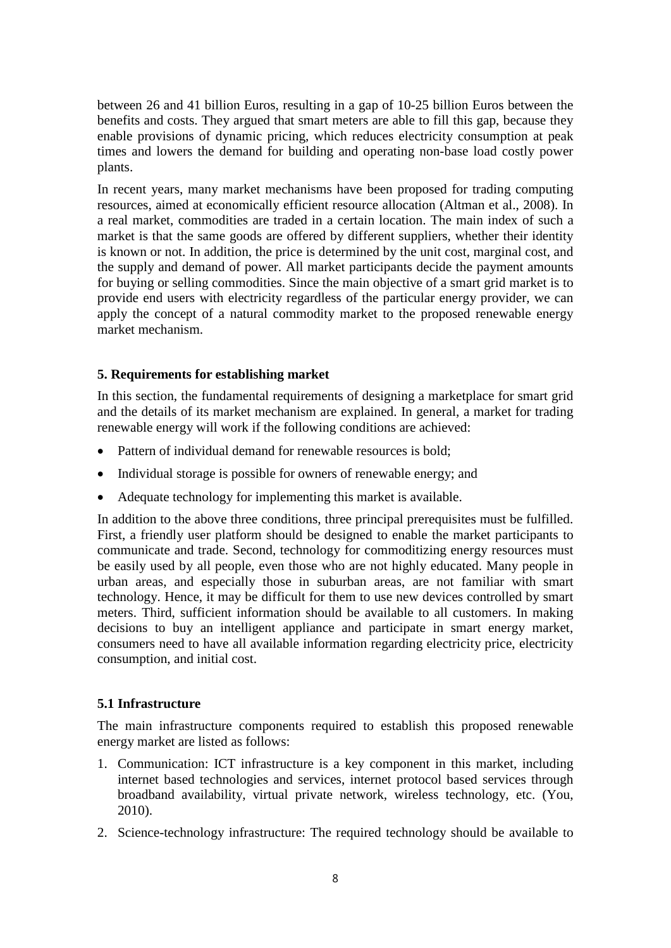between 26 and 41 billion Euros, resulting in a gap of 10-25 billion Euros between the benefits and costs. They argued that smart meters are able to fill this gap, because they enable provisions of dynamic pricing, which reduces electricity consumption at peak times and lowers the demand for building and operating non-base load costly power plants.

In recent years, many market mechanisms have been proposed for trading computing resources, aimed at economically efficient resource allocation (Altman et al., 2008). In a real market, commodities are traded in a certain location. The main index of such a market is that the same goods are offered by different suppliers, whether their identity is known or not. In addition, the price is determined by the unit cost, marginal cost, and the supply and demand of power. All market participants decide the payment amounts for buying or selling commodities. Since the main objective of a smart grid market is to provide end users with electricity regardless of the particular energy provider, we can apply the concept of a natural commodity market to the proposed renewable energy market mechanism.

# **5. Requirements for establishing market**

In this section, the fundamental requirements of designing a marketplace for smart grid and the details of its market mechanism are explained. In general, a market for trading renewable energy will work if the following conditions are achieved:

- Pattern of individual demand for renewable resources is bold:
- Individual storage is possible for owners of renewable energy; and
- Adequate technology for implementing this market is available.

In addition to the above three conditions, three principal prerequisites must be fulfilled. First, a friendly user platform should be designed to enable the market participants to communicate and trade. Second, technology for commoditizing energy resources must be easily used by all people, even those who are not highly educated. Many people in urban areas, and especially those in suburban areas, are not familiar with smart technology. Hence, it may be difficult for them to use new devices controlled by smart meters. Third, sufficient information should be available to all customers. In making decisions to buy an intelligent appliance and participate in smart energy market, consumers need to have all available information regarding electricity price, electricity consumption, and initial cost.

# **5.1 Infrastructure**

The main infrastructure components required to establish this proposed renewable energy market are listed as follows:

- 1. Communication: ICT infrastructure is a key component in this market, including internet based technologies and services, internet protocol based services through broadband availability, virtual private network, wireless technology, etc. (You, 2010).
- 2. Science-technology infrastructure: The required technology should be available to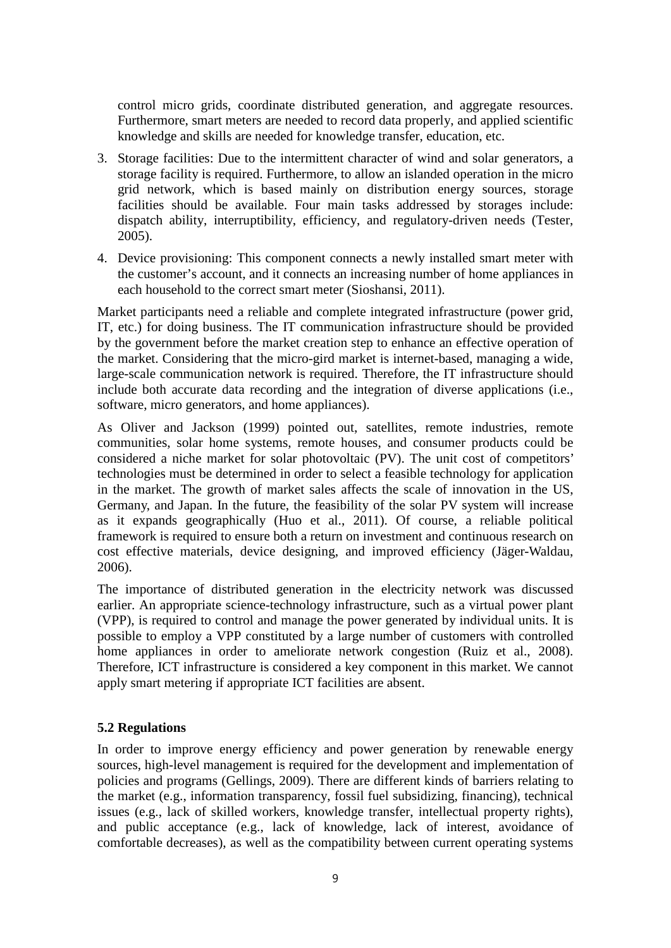control micro grids, coordinate distributed generation, and aggregate resources. Furthermore, smart meters are needed to record data properly, and applied scientific knowledge and skills are needed for knowledge transfer, education, etc.

- 3. Storage facilities: Due to the intermittent character of wind and solar generators, a storage facility is required. Furthermore, to allow an islanded operation in the micro grid network, which is based mainly on distribution energy sources, storage facilities should be available. Four main tasks addressed by storages include: dispatch ability, interruptibility, efficiency, and regulatory-driven needs (Tester, 2005).
- 4. Device provisioning: This component connects a newly installed smart meter with the customer's account, and it connects an increasing number of home appliances in each household to the correct smart meter (Sioshansi, 2011).

Market participants need a reliable and complete integrated infrastructure (power grid, IT, etc.) for doing business. The IT communication infrastructure should be provided by the government before the market creation step to enhance an effective operation of the market. Considering that the micro-gird market is internet-based, managing a wide, large-scale communication network is required. Therefore, the IT infrastructure should include both accurate data recording and the integration of diverse applications (i.e., software, micro generators, and home appliances).

As Oliver and Jackson (1999) pointed out, satellites, remote industries, remote communities, solar home systems, remote houses, and consumer products could be considered a niche market for solar photovoltaic (PV). The unit cost of competitors' technologies must be determined in order to select a feasible technology for application in the market. The growth of market sales affects the scale of innovation in the US, Germany, and Japan. In the future, the feasibility of the solar PV system will increase as it expands geographically (Huo et al., 2011). Of course, a reliable political framework is required to ensure both a return on investment and continuous research on cost effective materials, device designing, and improved efficiency (Jäger-Waldau, 2006).

The importance of distributed generation in the electricity network was discussed earlier. An appropriate science-technology infrastructure, such as a virtual power plant (VPP), is required to control and manage the power generated by individual units. It is possible to employ a VPP constituted by a large number of customers with controlled home appliances in order to ameliorate network congestion (Ruiz et al., 2008). Therefore, ICT infrastructure is considered a key component in this market. We cannot apply smart metering if appropriate ICT facilities are absent.

# **5.2 Regulations**

In order to improve energy efficiency and power generation by renewable energy sources, high-level management is required for the development and implementation of policies and programs (Gellings, 2009). There are different kinds of barriers relating to the market (e.g., information transparency, fossil fuel subsidizing, financing), technical issues (e.g., lack of skilled workers, knowledge transfer, intellectual property rights), and public acceptance (e.g., lack of knowledge, lack of interest, avoidance of comfortable decreases), as well as the compatibility between current operating systems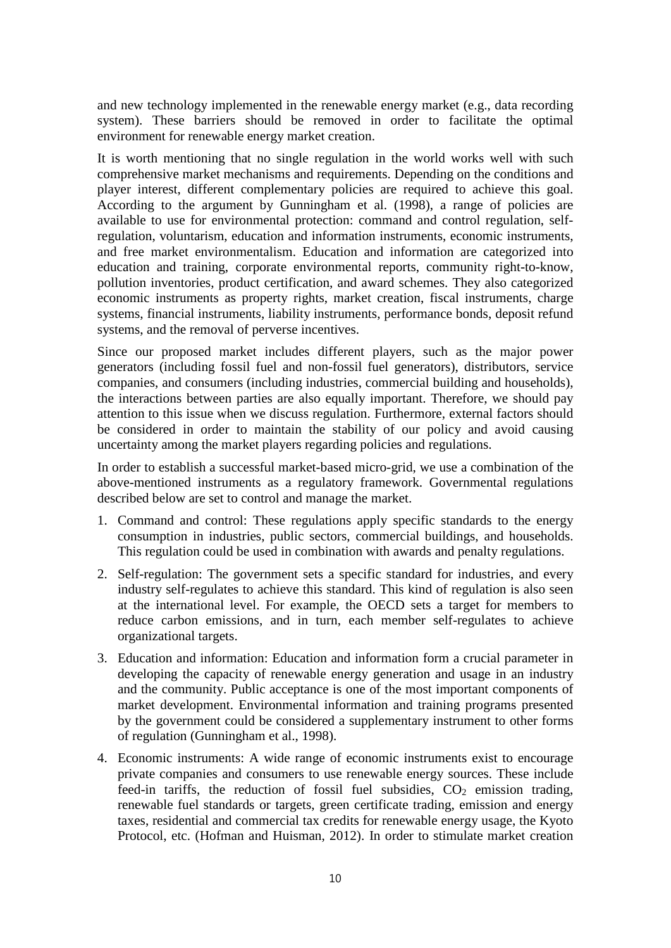and new technology implemented in the renewable energy market (e.g., data recording system). These barriers should be removed in order to facilitate the optimal environment for renewable energy market creation.

It is worth mentioning that no single regulation in the world works well with such comprehensive market mechanisms and requirements. Depending on the conditions and player interest, different complementary policies are required to achieve this goal. According to the argument by Gunningham et al. (1998), a range of policies are available to use for environmental protection: command and control regulation, selfregulation, voluntarism, education and information instruments, economic instruments, and free market environmentalism. Education and information are categorized into education and training, corporate environmental reports, community right-to-know, pollution inventories, product certification, and award schemes. They also categorized economic instruments as property rights, market creation, fiscal instruments, charge systems, financial instruments, liability instruments, performance bonds, deposit refund systems, and the removal of perverse incentives.

Since our proposed market includes different players, such as the major power generators (including fossil fuel and non-fossil fuel generators), distributors, service companies, and consumers (including industries, commercial building and households), the interactions between parties are also equally important. Therefore, we should pay attention to this issue when we discuss regulation. Furthermore, external factors should be considered in order to maintain the stability of our policy and avoid causing uncertainty among the market players regarding policies and regulations.

In order to establish a successful market-based micro-grid, we use a combination of the above-mentioned instruments as a regulatory framework. Governmental regulations described below are set to control and manage the market.

- 1. Command and control: These regulations apply specific standards to the energy consumption in industries, public sectors, commercial buildings, and households. This regulation could be used in combination with awards and penalty regulations.
- 2. Self-regulation: The government sets a specific standard for industries, and every industry self-regulates to achieve this standard. This kind of regulation is also seen at the international level. For example, the OECD sets a target for members to reduce carbon emissions, and in turn, each member self-regulates to achieve organizational targets.
- 3. Education and information: Education and information form a crucial parameter in developing the capacity of renewable energy generation and usage in an industry and the community. Public acceptance is one of the most important components of market development. Environmental information and training programs presented by the government could be considered a supplementary instrument to other forms of regulation (Gunningham et al., 1998).
- 4. Economic instruments: A wide range of economic instruments exist to encourage private companies and consumers to use renewable energy sources. These include feed-in tariffs, the reduction of fossil fuel subsidies,  $CO<sub>2</sub>$  emission trading, renewable fuel standards or targets, green certificate trading, emission and energy taxes, residential and commercial tax credits for renewable energy usage, the Kyoto Protocol, etc. (Hofman and Huisman, 2012). In order to stimulate market creation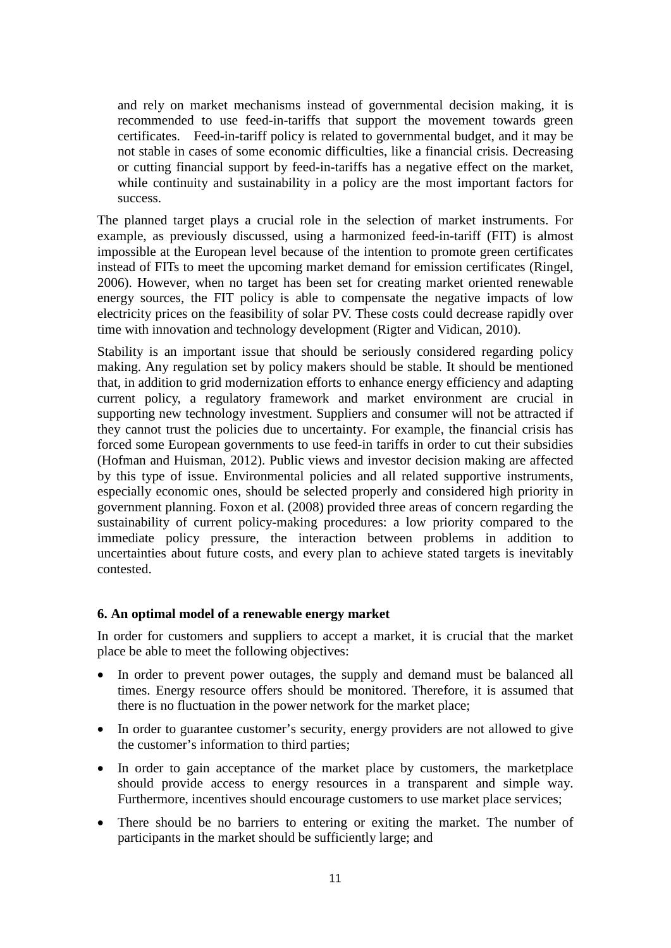and rely on market mechanisms instead of governmental decision making, it is recommended to use feed-in-tariffs that support the movement towards green certificates. Feed-in-tariff policy is related to governmental budget, and it may be not stable in cases of some economic difficulties, like a financial crisis. Decreasing or cutting financial support by feed-in-tariffs has a negative effect on the market, while continuity and sustainability in a policy are the most important factors for success.

The planned target plays a crucial role in the selection of market instruments. For example, as previously discussed, using a harmonized feed-in-tariff (FIT) is almost impossible at the European level because of the intention to promote green certificates instead of FITs to meet the upcoming market demand for emission certificates (Ringel, 2006). However, when no target has been set for creating market oriented renewable energy sources, the FIT policy is able to compensate the negative impacts of low electricity prices on the feasibility of solar PV. These costs could decrease rapidly over time with innovation and technology development (Rigter and Vidican, 2010).

Stability is an important issue that should be seriously considered regarding policy making. Any regulation set by policy makers should be stable. It should be mentioned that, in addition to grid modernization efforts to enhance energy efficiency and adapting current policy, a regulatory framework and market environment are crucial in supporting new technology investment. Suppliers and consumer will not be attracted if they cannot trust the policies due to uncertainty. For example, the financial crisis has forced some European governments to use feed-in tariffs in order to cut their subsidies (Hofman and Huisman, 2012). Public views and investor decision making are affected by this type of issue. Environmental policies and all related supportive instruments, especially economic ones, should be selected properly and considered high priority in government planning. Foxon et al. (2008) provided three areas of concern regarding the sustainability of current policy-making procedures: a low priority compared to the immediate policy pressure, the interaction between problems in addition to uncertainties about future costs, and every plan to achieve stated targets is inevitably contested.

# **6. An optimal model of a renewable energy market**

In order for customers and suppliers to accept a market, it is crucial that the market place be able to meet the following objectives:

- In order to prevent power outages, the supply and demand must be balanced all times. Energy resource offers should be monitored. Therefore, it is assumed that there is no fluctuation in the power network for the market place;
- In order to guarantee customer's security, energy providers are not allowed to give the customer's information to third parties;
- In order to gain acceptance of the market place by customers, the marketplace should provide access to energy resources in a transparent and simple way. Furthermore, incentives should encourage customers to use market place services;
- There should be no barriers to entering or exiting the market. The number of participants in the market should be sufficiently large; and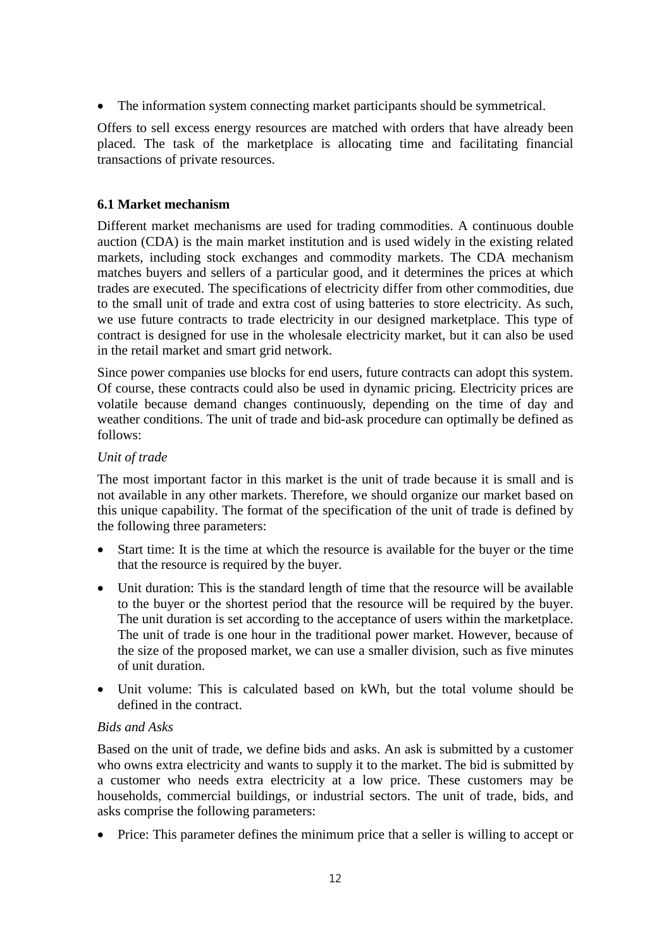• The information system connecting market participants should be symmetrical.

Offers to sell excess energy resources are matched with orders that have already been placed. The task of the marketplace is allocating time and facilitating financial transactions of private resources.

# **6.1 Market mechanism**

Different market mechanisms are used for trading commodities. A continuous double auction (CDA) is the main market institution and is used widely in the existing related markets, including stock exchanges and commodity markets. The CDA mechanism matches buyers and sellers of a particular good, and it determines the prices at which trades are executed. The specifications of electricity differ from other commodities, due to the small unit of trade and extra cost of using batteries to store electricity. As such, we use future contracts to trade electricity in our designed marketplace. This type of contract is designed for use in the wholesale electricity market, but it can also be used in the retail market and smart grid network.

Since power companies use blocks for end users, future contracts can adopt this system. Of course, these contracts could also be used in dynamic pricing. Electricity prices are volatile because demand changes continuously, depending on the time of day and weather conditions. The unit of trade and bid-ask procedure can optimally be defined as follows:

# *Unit of trade*

The most important factor in this market is the unit of trade because it is small and is not available in any other markets. Therefore, we should organize our market based on this unique capability. The format of the specification of the unit of trade is defined by the following three parameters:

- Start time: It is the time at which the resource is available for the buyer or the time that the resource is required by the buyer.
- Unit duration: This is the standard length of time that the resource will be available to the buyer or the shortest period that the resource will be required by the buyer. The unit duration is set according to the acceptance of users within the marketplace. The unit of trade is one hour in the traditional power market. However, because of the size of the proposed market, we can use a smaller division, such as five minutes of unit duration.
- Unit volume: This is calculated based on kWh, but the total volume should be defined in the contract.

# *Bids and Asks*

Based on the unit of trade, we define bids and asks. An ask is submitted by a customer who owns extra electricity and wants to supply it to the market. The bid is submitted by a customer who needs extra electricity at a low price. These customers may be households, commercial buildings, or industrial sectors. The unit of trade, bids, and asks comprise the following parameters:

• Price: This parameter defines the minimum price that a seller is willing to accept or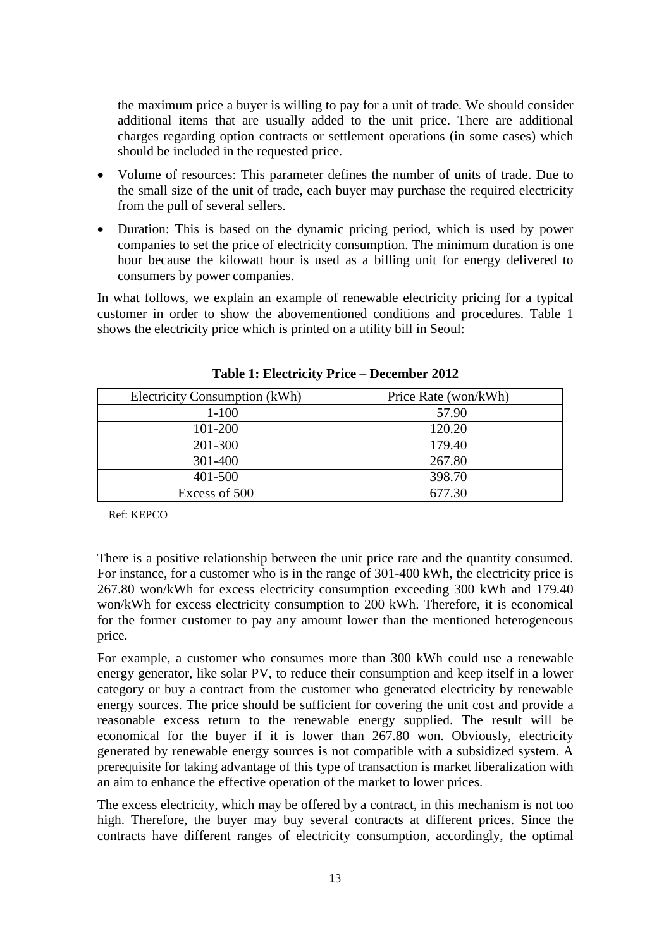the maximum price a buyer is willing to pay for a unit of trade. We should consider additional items that are usually added to the unit price. There are additional charges regarding option contracts or settlement operations (in some cases) which should be included in the requested price.

- Volume of resources: This parameter defines the number of units of trade. Due to the small size of the unit of trade, each buyer may purchase the required electricity from the pull of several sellers.
- Duration: This is based on the dynamic pricing period, which is used by power companies to set the price of electricity consumption. The minimum duration is one hour because the kilowatt hour is used as a billing unit for energy delivered to consumers by power companies.

In what follows, we explain an example of renewable electricity pricing for a typical customer in order to show the abovementioned conditions and procedures. Table 1 shows the electricity price which is printed on a utility bill in Seoul:

| Electricity Consumption (kWh) | Price Rate (won/kWh) |  |
|-------------------------------|----------------------|--|
| $1 - 100$                     | 57.90                |  |
| 101-200                       | 120.20               |  |
| 201-300                       | 179.40               |  |
| 301-400                       | 267.80               |  |
| 401-500                       | 398.70               |  |
| Excess of 500                 | 677.30               |  |

**Table 1: Electricity Price – December 2012**

Ref: KEPCO

There is a positive relationship between the unit price rate and the quantity consumed. For instance, for a customer who is in the range of 301-400 kWh, the electricity price is 267.80 won/kWh for excess electricity consumption exceeding 300 kWh and 179.40 won/kWh for excess electricity consumption to 200 kWh. Therefore, it is economical for the former customer to pay any amount lower than the mentioned heterogeneous price.

For example, a customer who consumes more than 300 kWh could use a renewable energy generator, like solar PV, to reduce their consumption and keep itself in a lower category or buy a contract from the customer who generated electricity by renewable energy sources. The price should be sufficient for covering the unit cost and provide a reasonable excess return to the renewable energy supplied. The result will be economical for the buyer if it is lower than 267.80 won. Obviously, electricity generated by renewable energy sources is not compatible with a subsidized system. A prerequisite for taking advantage of this type of transaction is market liberalization with an aim to enhance the effective operation of the market to lower prices.

The excess electricity, which may be offered by a contract, in this mechanism is not too high. Therefore, the buyer may buy several contracts at different prices. Since the contracts have different ranges of electricity consumption, accordingly, the optimal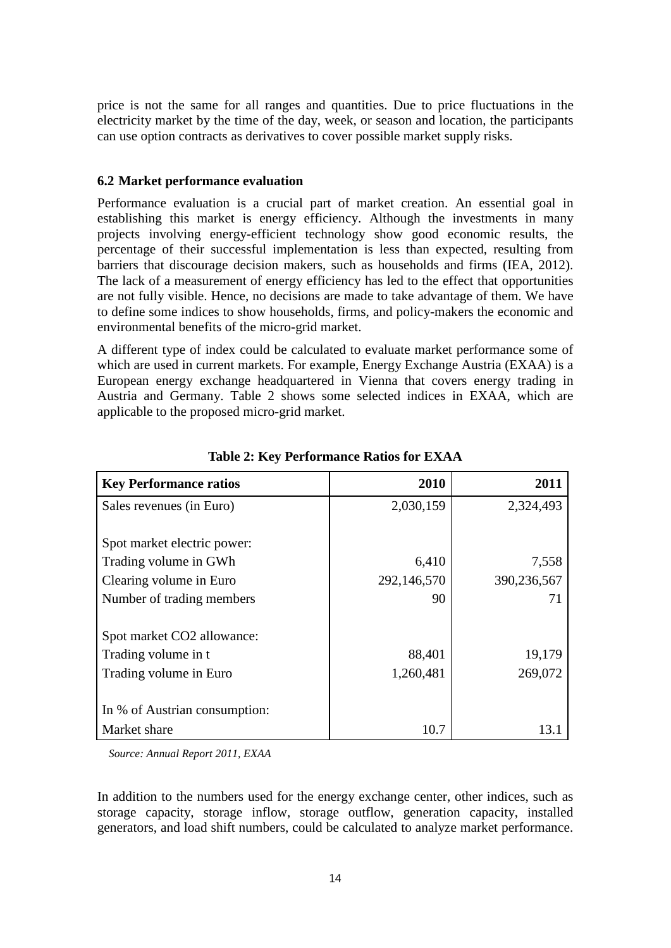price is not the same for all ranges and quantities. Due to price fluctuations in the electricity market by the time of the day, week, or season and location, the participants can use option contracts as derivatives to cover possible market supply risks.

# **6.2 Market performance evaluation**

Performance evaluation is a crucial part of market creation. An essential goal in establishing this market is energy efficiency. Although the investments in many projects involving energy-efficient technology show good economic results, the percentage of their successful implementation is less than expected, resulting from barriers that discourage decision makers, such as households and firms (IEA, 2012). The lack of a measurement of energy efficiency has led to the effect that opportunities are not fully visible. Hence, no decisions are made to take advantage of them. We have to define some indices to show households, firms, and policy-makers the economic and environmental benefits of the micro-grid market.

A different type of index could be calculated to evaluate market performance some of which are used in current markets. For example, Energy Exchange Austria (EXAA) is a European energy exchange headquartered in Vienna that covers energy trading in Austria and Germany. Table 2 shows some selected indices in EXAA, which are applicable to the proposed micro-grid market.

| <b>Key Performance ratios</b> | 2010        | 2011        |
|-------------------------------|-------------|-------------|
| Sales revenues (in Euro)      | 2,030,159   | 2,324,493   |
|                               |             |             |
| Spot market electric power:   |             |             |
| Trading volume in GWh         | 6,410       | 7,558       |
| Clearing volume in Euro       | 292,146,570 | 390,236,567 |
| Number of trading members     | 90          | 71          |
|                               |             |             |
| Spot market CO2 allowance:    |             |             |
| Trading volume in t           | 88,401      | 19,179      |
| Trading volume in Euro        | 1,260,481   | 269,072     |
|                               |             |             |
| In % of Austrian consumption: |             |             |
| Market share                  | 10.7        | 13 1        |

**Table 2: Key Performance Ratios for EXAA**

 *Source: Annual Report 2011, EXAA*

In addition to the numbers used for the energy exchange center, other indices, such as storage capacity, storage inflow, storage outflow, generation capacity, installed generators, and load shift numbers, could be calculated to analyze market performance.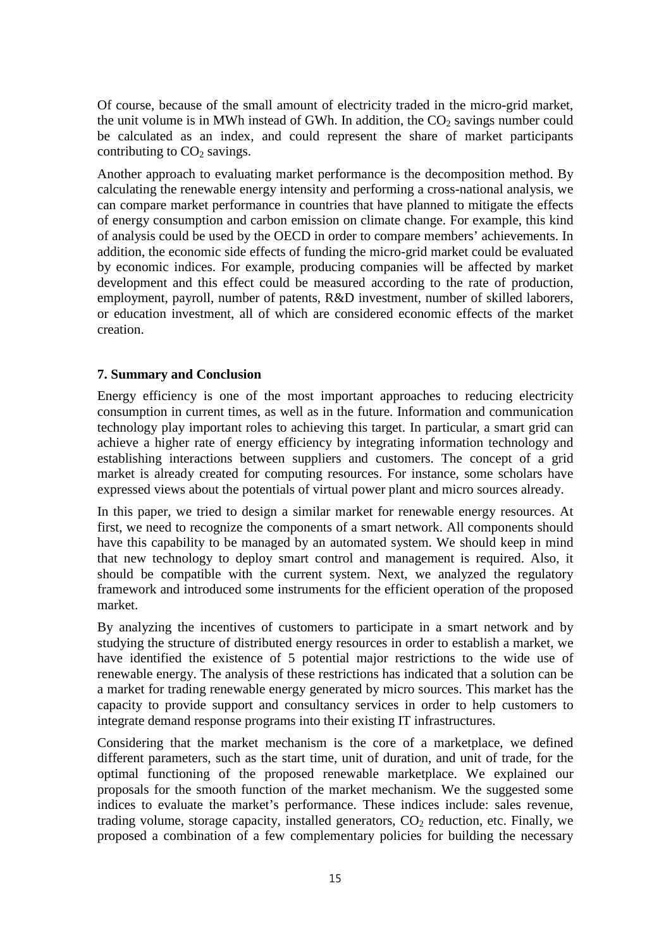Of course, because of the small amount of electricity traded in the micro-grid market, the unit volume is in MWh instead of GWh. In addition, the  $CO<sub>2</sub>$  savings number could be calculated as an index, and could represent the share of market participants contributing to  $CO<sub>2</sub>$  savings.

Another approach to evaluating market performance is the decomposition method. By calculating the renewable energy intensity and performing a cross-national analysis, we can compare market performance in countries that have planned to mitigate the effects of energy consumption and carbon emission on climate change. For example, this kind of analysis could be used by the OECD in order to compare members' achievements. In addition, the economic side effects of funding the micro-grid market could be evaluated by economic indices. For example, producing companies will be affected by market development and this effect could be measured according to the rate of production, employment, payroll, number of patents, R&D investment, number of skilled laborers, or education investment, all of which are considered economic effects of the market creation.

# **7. Summary and Conclusion**

Energy efficiency is one of the most important approaches to reducing electricity consumption in current times, as well as in the future. Information and communication technology play important roles to achieving this target. In particular, a smart grid can achieve a higher rate of energy efficiency by integrating information technology and establishing interactions between suppliers and customers. The concept of a grid market is already created for computing resources. For instance, some scholars have expressed views about the potentials of virtual power plant and micro sources already.

In this paper, we tried to design a similar market for renewable energy resources. At first, we need to recognize the components of a smart network. All components should have this capability to be managed by an automated system. We should keep in mind that new technology to deploy smart control and management is required. Also, it should be compatible with the current system. Next, we analyzed the regulatory framework and introduced some instruments for the efficient operation of the proposed market.

By analyzing the incentives of customers to participate in a smart network and by studying the structure of distributed energy resources in order to establish a market, we have identified the existence of 5 potential major restrictions to the wide use of renewable energy. The analysis of these restrictions has indicated that a solution can be a market for trading renewable energy generated by micro sources. This market has the capacity to provide support and consultancy services in order to help customers to integrate demand response programs into their existing IT infrastructures.

Considering that the market mechanism is the core of a marketplace, we defined different parameters, such as the start time, unit of duration, and unit of trade, for the optimal functioning of the proposed renewable marketplace. We explained our proposals for the smooth function of the market mechanism. We the suggested some indices to evaluate the market's performance. These indices include: sales revenue, trading volume, storage capacity, installed generators,  $CO<sub>2</sub>$  reduction, etc. Finally, we proposed a combination of a few complementary policies for building the necessary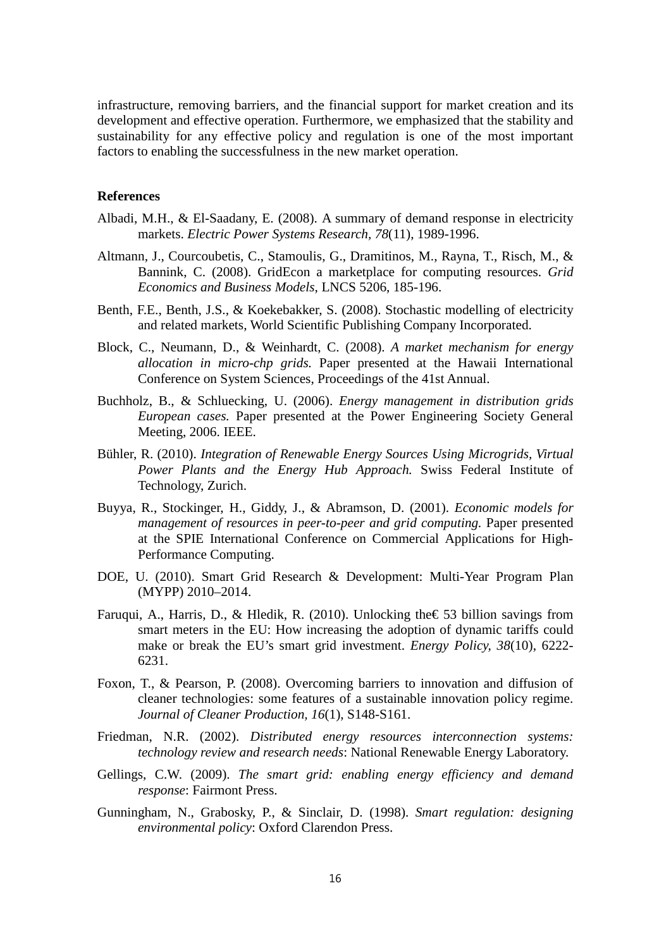infrastructure, removing barriers, and the financial support for market creation and its development and effective operation. Furthermore, we emphasized that the stability and sustainability for any effective policy and regulation is one of the most important factors to enabling the successfulness in the new market operation.

#### **References**

- Albadi, M.H., & El-Saadany, E. (2008). A summary of demand response in electricity markets. *Electric Power Systems Research, 78*(11), 1989-1996.
- Altmann, J., Courcoubetis, C., Stamoulis, G., Dramitinos, M., Rayna, T., Risch, M., & Bannink, C. (2008). GridEcon a marketplace for computing resources. *Grid Economics and Business Models*, LNCS 5206, 185-196.
- Benth, F.E., Benth, J.S., & Koekebakker, S. (2008). Stochastic modelling of electricity and related markets, World Scientific Publishing Company Incorporated.
- Block, C., Neumann, D., & Weinhardt, C. (2008). *A market mechanism for energy allocation in micro-chp grids.* Paper presented at the Hawaii International Conference on System Sciences, Proceedings of the 41st Annual.
- Buchholz, B., & Schluecking, U. (2006). *Energy management in distribution grids European cases.* Paper presented at the Power Engineering Society General Meeting, 2006. IEEE.
- Bühler, R. (2010). *Integration of Renewable Energy Sources Using Microgrids, Virtual Power Plants and the Energy Hub Approach.* Swiss Federal Institute of Technology, Zurich.
- Buyya, R., Stockinger, H., Giddy, J., & Abramson, D. (2001). *Economic models for management of resources in peer-to-peer and grid computing.* Paper presented at the SPIE International Conference on Commercial Applications for High-Performance Computing.
- DOE, U. (2010). Smart Grid Research & Development: Multi-Year Program Plan (MYPP) 2010–2014.
- Faruqui, A., Harris, D., & Hledik, R. (2010). Unlocking the  $\epsilon$  53 billion savings from smart meters in the EU: How increasing the adoption of dynamic tariffs could make or break the EU's smart grid investment. *Energy Policy, 38*(10), 6222- 6231.
- Foxon, T., & Pearson, P. (2008). Overcoming barriers to innovation and diffusion of cleaner technologies: some features of a sustainable innovation policy regime. *Journal of Cleaner Production, 16*(1), S148-S161.
- Friedman, N.R. (2002). *Distributed energy resources interconnection systems: technology review and research needs*: National Renewable Energy Laboratory.
- Gellings, C.W. (2009). *The smart grid: enabling energy efficiency and demand response*: Fairmont Press.
- Gunningham, N., Grabosky, P., & Sinclair, D. (1998). *Smart regulation: designing environmental policy*: Oxford Clarendon Press.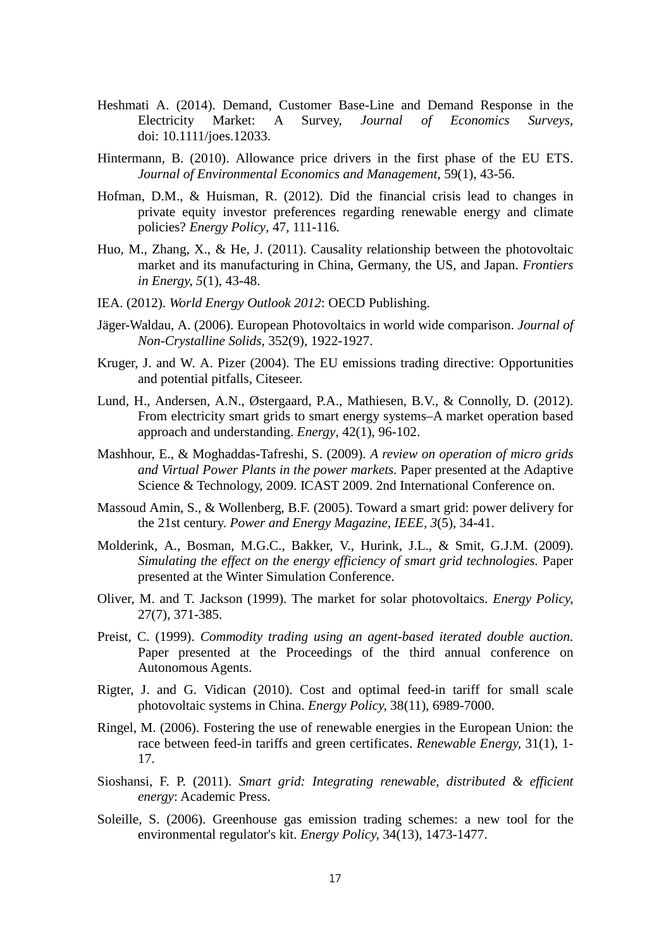- Heshmati A. (2014). Demand, Customer Base-Line and Demand Response in the Electricity Market: A Survey, *Journal of Economics Surveys*, doi: 10.1111/joes.12033.
- Hintermann, B. (2010). Allowance price drivers in the first phase of the EU ETS. *Journal of Environmental Economics and Management,* 59(1), 43-56.
- Hofman, D.M., & Huisman, R. (2012). Did the financial crisis lead to changes in private equity investor preferences regarding renewable energy and climate policies? *Energy Policy*, 47, 111-116.
- Huo, M., Zhang, X., & He, J. (2011). Causality relationship between the photovoltaic market and its manufacturing in China, Germany, the US, and Japan. *Frontiers in Energy, 5*(1), 43-48.
- IEA. (2012). *World Energy Outlook 2012*: OECD Publishing.
- Jäger-Waldau, A. (2006). European Photovoltaics in world wide comparison. *Journal of Non-Crystalline Solids,* 352(9), 1922-1927.
- Kruger, J. and W. A. Pizer (2004). The EU emissions trading directive: Opportunities and potential pitfalls, Citeseer.
- Lund, H., Andersen, A.N., Østergaard, P.A., Mathiesen, B.V., & Connolly, D. (2012). From electricity smart grids to smart energy systems–A market operation based approach and understanding. *Energy*, 42(1), 96-102.
- Mashhour, E., & Moghaddas-Tafreshi, S. (2009). *A review on operation of micro grids and Virtual Power Plants in the power markets.* Paper presented at the Adaptive Science & Technology, 2009. ICAST 2009. 2nd International Conference on.
- Massoud Amin, S., & Wollenberg, B.F. (2005). Toward a smart grid: power delivery for the 21st century. *Power and Energy Magazine, IEEE, 3*(5), 34-41.
- Molderink, A., Bosman, M.G.C., Bakker, V., Hurink, J.L., & Smit, G.J.M. (2009). *Simulating the effect on the energy efficiency of smart grid technologies.* Paper presented at the Winter Simulation Conference.
- Oliver, M. and T. Jackson (1999). The market for solar photovoltaics. *Energy Policy,* 27(7), 371-385.
- Preist, C. (1999). *Commodity trading using an agent-based iterated double auction.* Paper presented at the Proceedings of the third annual conference on Autonomous Agents.
- Rigter, J. and G. Vidican (2010). Cost and optimal feed-in tariff for small scale photovoltaic systems in China. *Energy Policy,* 38(11), 6989-7000.
- Ringel, M. (2006). Fostering the use of renewable energies in the European Union: the race between feed-in tariffs and green certificates. *Renewable Energy,* 31(1), 1- 17.
- Sioshansi, F. P. (2011). *Smart grid: Integrating renewable, distributed & efficient energy*: Academic Press.
- Soleille, S. (2006). Greenhouse gas emission trading schemes: a new tool for the environmental regulator's kit. *Energy Policy,* 34(13), 1473-1477.